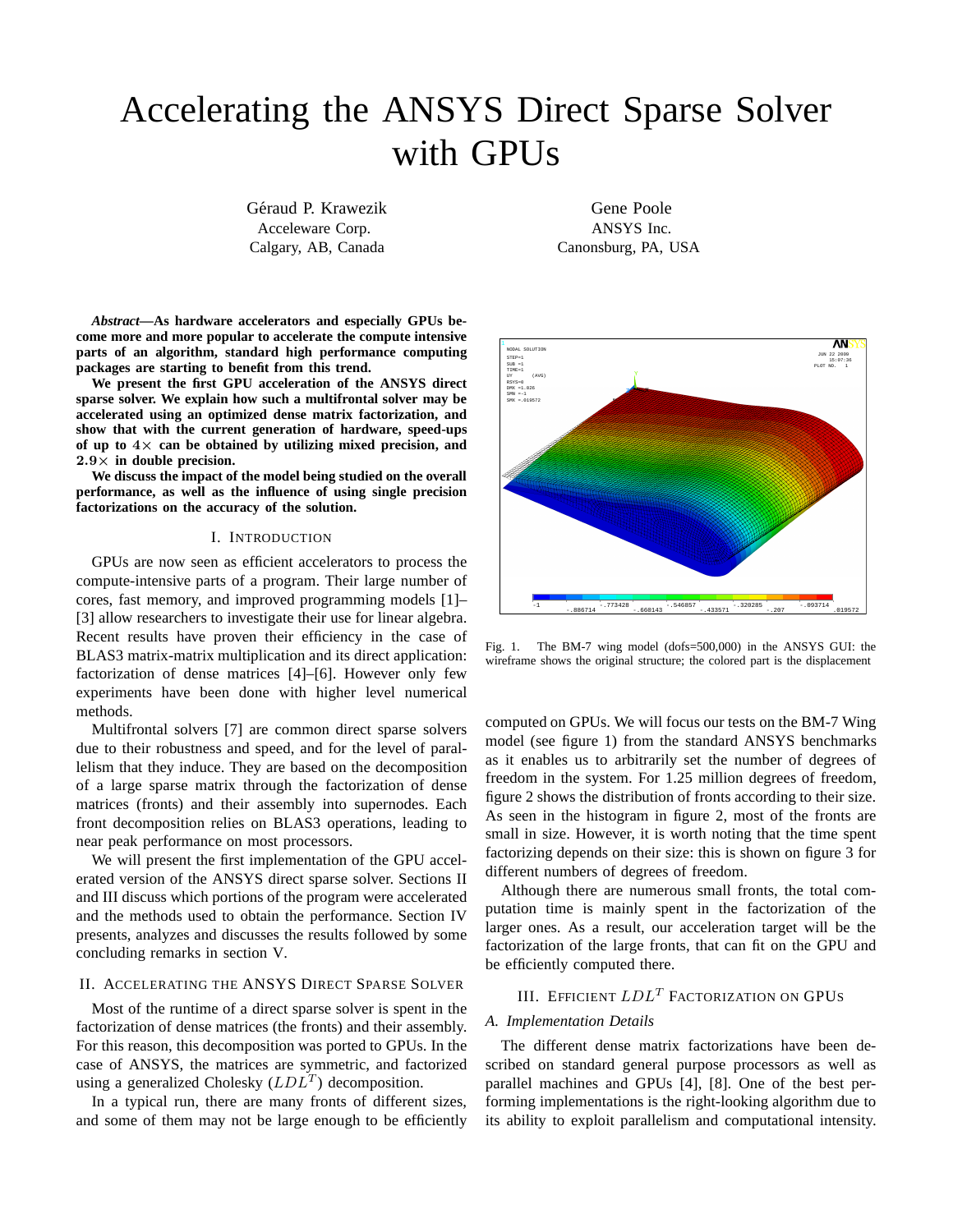# Accelerating the ANSYS Direct Sparse Solver with GPUs

Géraud P. Krawezik Acceleware Corp. Calgary, AB, Canada

*Abstract***—As hardware accelerators and especially GPUs become more and more popular to accelerate the compute intensive parts of an algorithm, standard high performance computing packages are starting to benefit from this trend.**

**We present the first GPU acceleration of the ANSYS direct sparse solver. We explain how such a multifrontal solver may be accelerated using an optimized dense matrix factorization, and show that with the current generation of hardware, speed-ups of up to** 4× **can be obtained by utilizing mixed precision, and** 2.9× **in double precision.**

**We discuss the impact of the model being studied on the overall performance, as well as the influence of using single precision factorizations on the accuracy of the solution.**

# I. INTRODUCTION

GPUs are now seen as efficient accelerators to process the compute-intensive parts of a program. Their large number of cores, fast memory, and improved programming models [1]– [3] allow researchers to investigate their use for linear algebra. Recent results have proven their efficiency in the case of BLAS3 matrix-matrix multiplication and its direct application: factorization of dense matrices [4]–[6]. However only few experiments have been done with higher level numerical methods.

Multifrontal solvers [7] are common direct sparse solvers due to their robustness and speed, and for the level of parallelism that they induce. They are based on the decomposition of a large sparse matrix through the factorization of dense matrices (fronts) and their assembly into supernodes. Each front decomposition relies on BLAS3 operations, leading to near peak performance on most processors.

We will present the first implementation of the GPU accelerated version of the ANSYS direct sparse solver. Sections II and III discuss which portions of the program were accelerated and the methods used to obtain the performance. Section IV presents, analyzes and discusses the results followed by some concluding remarks in section V.

# II. ACCELERATING THE ANSYS DIRECT SPARSE SOLVER

Most of the runtime of a direct sparse solver is spent in the factorization of dense matrices (the fronts) and their assembly. For this reason, this decomposition was ported to GPUs. In the case of ANSYS, the matrices are symmetric, and factorized using a generalized Cholesky  $(LDL^{T})$  decomposition.

In a typical run, there are many fronts of different sizes, and some of them may not be large enough to be efficiently

Gene Poole ANSYS Inc. Canonsburg, PA, USA



Fig. 1. The BM-7 wing model (dofs=500,000) in the ANSYS GUI: the wireframe shows the original structure; the colored part is the displacement

computed on GPUs. We will focus our tests on the BM-7 Wing model (see figure 1) from the standard ANSYS benchmarks as it enables us to arbitrarily set the number of degrees of freedom in the system. For 1.25 million degrees of freedom, figure 2 shows the distribution of fronts according to their size. As seen in the histogram in figure 2, most of the fronts are small in size. However, it is worth noting that the time spent factorizing depends on their size: this is shown on figure 3 for different numbers of degrees of freedom.

Although there are numerous small fronts, the total computation time is mainly spent in the factorization of the larger ones. As a result, our acceleration target will be the factorization of the large fronts, that can fit on the GPU and be efficiently computed there.

# III. EFFICIENT  $LDL<sup>T</sup>$  Factorization on GPUs

#### *A. Implementation Details*

The different dense matrix factorizations have been described on standard general purpose processors as well as parallel machines and GPUs [4], [8]. One of the best performing implementations is the right-looking algorithm due to its ability to exploit parallelism and computational intensity.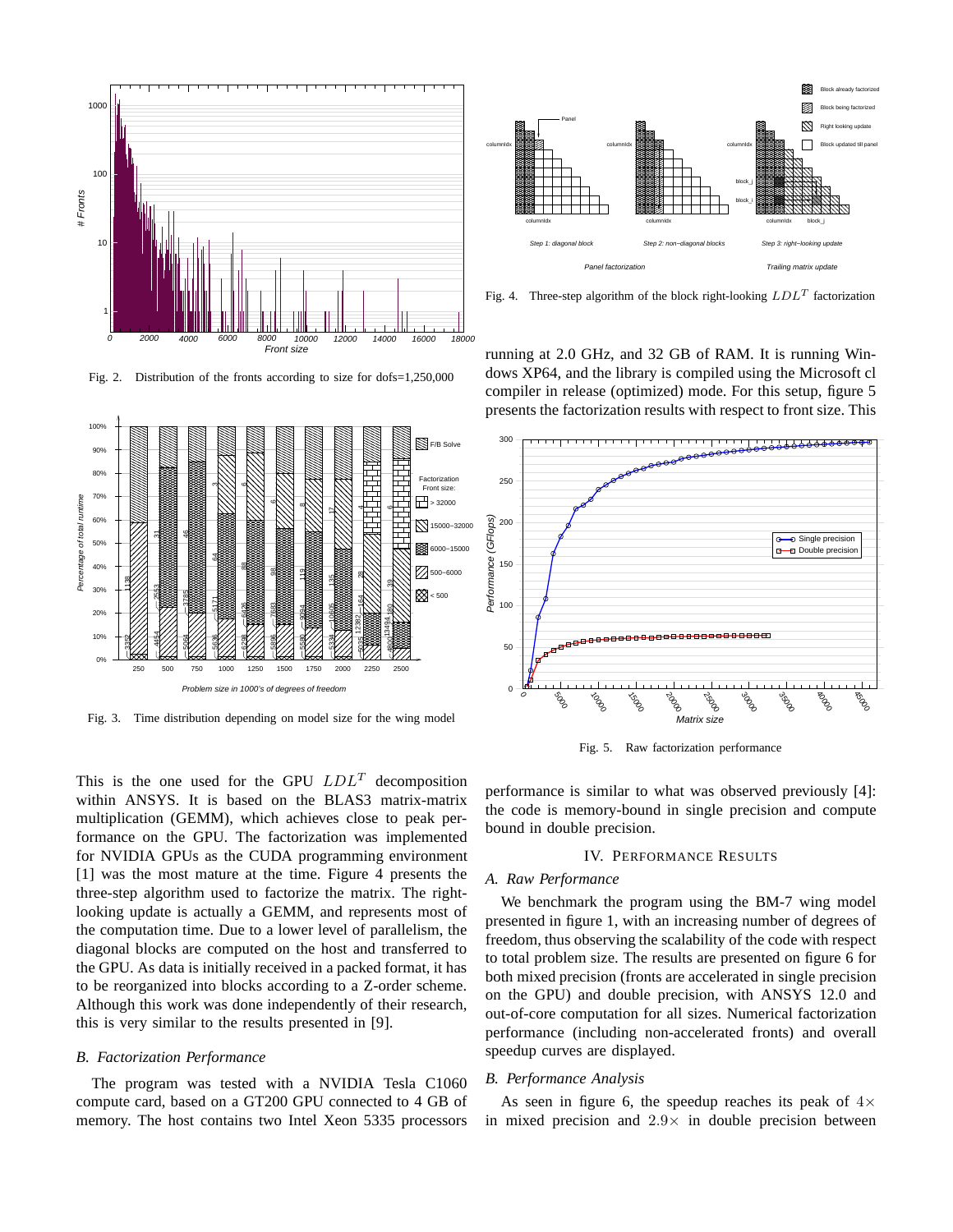

Fig. 2. Distribution of the fronts according to size for dofs=1,250,000



Fig. 3. Time distribution depending on model size for the wing model

Block already factorized Block being factorized Panel M Right looking update columnIdx **REGISE** columnIdx **REGISERE** columnIdx **columnIdx** columnIdx Block updated till panel block\_j block\_i columnIdx columnIdx columnIdx block\_j - diagonal blocks Step 3: right-lo **Trailing r** 

Fig. 4. Three-step algorithm of the block right-looking  $LDL<sup>T</sup>$  factorization

running at 2.0 GHz, and 32 GB of RAM. It is running Windows XP64, and the library is compiled using the Microsoft cl compiler in release (optimized) mode. For this setup, figure 5 presents the factorization results with respect to front size. This



Fig. 5. Raw factorization performance

This is the one used for the GPU  $LDL<sup>T</sup>$  decomposition within ANSYS. It is based on the BLAS3 matrix-matrix multiplication (GEMM), which achieves close to peak performance on the GPU. The factorization was implemented for NVIDIA GPUs as the CUDA programming environment [1] was the most mature at the time. Figure 4 presents the three-step algorithm used to factorize the matrix. The rightlooking update is actually a GEMM, and represents most of the computation time. Due to a lower level of parallelism, the diagonal blocks are computed on the host and transferred to the GPU. As data is initially received in a packed format, it has to be reorganized into blocks according to a Z-order scheme. Although this work was done independently of their research, this is very similar to the results presented in [9].

#### *B. Factorization Performance*

The program was tested with a NVIDIA Tesla C1060 compute card, based on a GT200 GPU connected to 4 GB of memory. The host contains two Intel Xeon 5335 processors

performance is similar to what was observed previously [4]: the code is memory-bound in single precision and compute bound in double precision.

# IV. PERFORMANCE RESULTS

# *A. Raw Performance*

We benchmark the program using the BM-7 wing model presented in figure 1, with an increasing number of degrees of freedom, thus observing the scalability of the code with respect to total problem size. The results are presented on figure 6 for both mixed precision (fronts are accelerated in single precision on the GPU) and double precision, with ANSYS 12.0 and out-of-core computation for all sizes. Numerical factorization performance (including non-accelerated fronts) and overall speedup curves are displayed.

#### *B. Performance Analysis*

As seen in figure 6, the speedup reaches its peak of  $4\times$ in mixed precision and  $2.9\times$  in double precision between